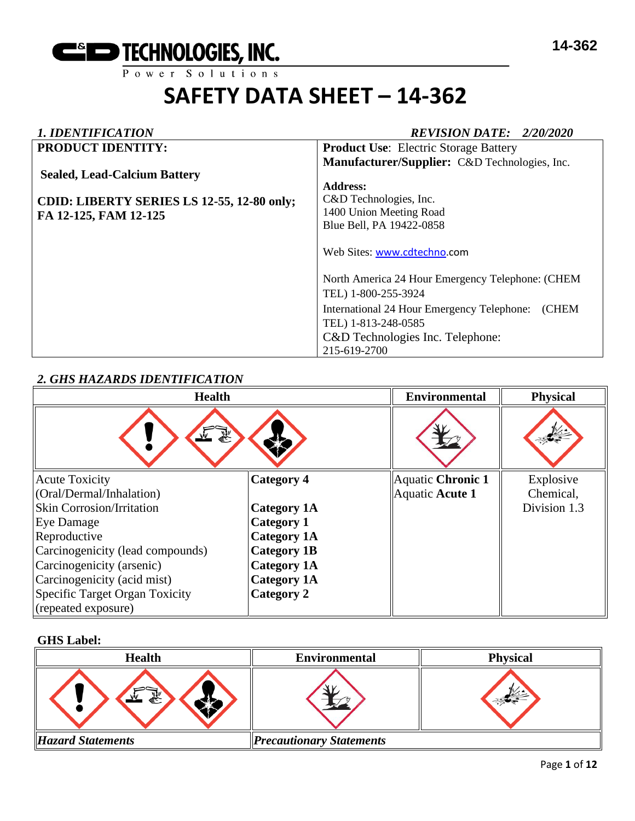

# *1. IDENTIFICATION REVISION DATE: 2/20/2020*

| <b>PRODUCT IDENTITY:</b>                   | <b>Product Use:</b> Electric Storage Battery              |
|--------------------------------------------|-----------------------------------------------------------|
|                                            | Manufacturer/Supplier: C&D Technologies, Inc.             |
| <b>Sealed, Lead-Calcium Battery</b>        |                                                           |
|                                            | <b>Address:</b>                                           |
| CDID: LIBERTY SERIES LS 12-55, 12-80 only; | C&D Technologies, Inc.                                    |
| FA 12-125, FAM 12-125                      | 1400 Union Meeting Road                                   |
|                                            | Blue Bell, PA 19422-0858                                  |
|                                            | Web Sites: www.cdtechno.com                               |
|                                            | North America 24 Hour Emergency Telephone: (CHEM          |
|                                            | TEL) 1-800-255-3924                                       |
|                                            | International 24 Hour Emergency Telephone:<br><b>CHEM</b> |
|                                            | TEL) 1-813-248-0585                                       |
|                                            | C&D Technologies Inc. Telephone:                          |
|                                            | 215-619-2700                                              |

# *2. GHS HAZARDS IDENTIFICATION*

| <b>Health</b>                    |                    | <b>Environmental</b>     | <b>Physical</b> |
|----------------------------------|--------------------|--------------------------|-----------------|
|                                  |                    |                          |                 |
| <b>Acute Toxicity</b>            | Category 4         | <b>Aquatic Chronic 1</b> | Explosive       |
| (Oral/Dermal/Inhalation)         |                    | Aquatic Acute 1          | Chemical,       |
| <b>Skin Corrosion/Irritation</b> | <b>Category 1A</b> |                          | Division 1.3    |
| Eye Damage                       | <b>Category 1</b>  |                          |                 |
| Reproductive                     | <b>Category 1A</b> |                          |                 |
| Carcinogenicity (lead compounds) | <b>Category 1B</b> |                          |                 |
| Carcinogenicity (arsenic)        | <b>Category 1A</b> |                          |                 |
| Carcinogenicity (acid mist)      | <b>Category 1A</b> |                          |                 |
| Specific Target Organ Toxicity   | Category 2         |                          |                 |
| (repeated exposure)              |                    |                          |                 |

### **GHS Label:**

| <b>Health</b>            | <b>Environmental</b>            | <b>Physical</b> |
|--------------------------|---------------------------------|-----------------|
| 系                        |                                 |                 |
| <b>Hazard Statements</b> | <b>Precautionary Statements</b> |                 |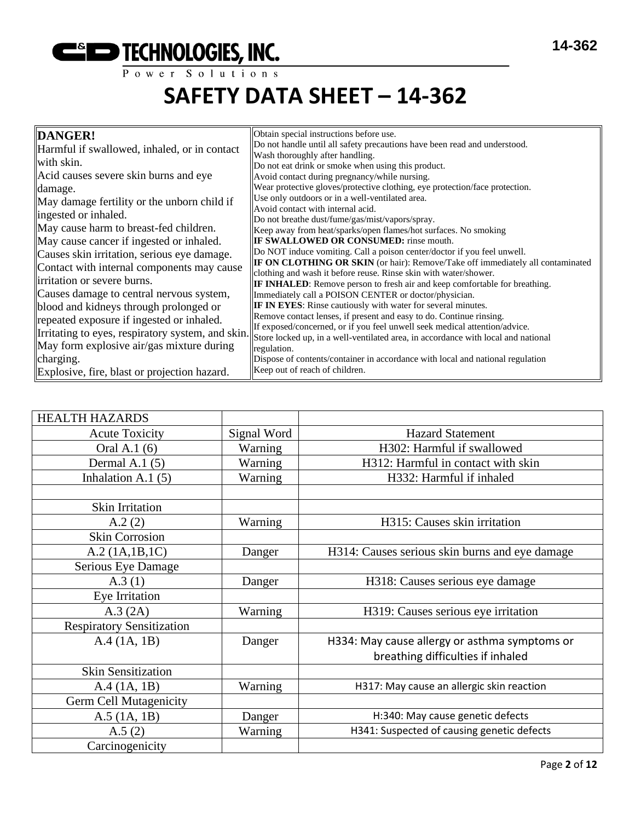

| DANGER!                                           | Obtain special instructions before use.<br>Do not handle until all safety precautions have been read and understood.                       |
|---------------------------------------------------|--------------------------------------------------------------------------------------------------------------------------------------------|
| Harmful if swallowed, inhaled, or in contact      | Wash thoroughly after handling.                                                                                                            |
| with skin.                                        | Do not eat drink or smoke when using this product.                                                                                         |
| Acid causes severe skin burns and eye             | Avoid contact during pregnancy/while nursing.                                                                                              |
| damage.                                           | Wear protective gloves/protective clothing, eye protection/face protection.                                                                |
| May damage fertility or the unborn child if       | Use only outdoors or in a well-ventilated area.                                                                                            |
| ingested or inhaled.                              | Avoid contact with internal acid.<br>Do not breathe dust/fume/gas/mist/vapors/spray.                                                       |
| May cause harm to breast-fed children.            | Keep away from heat/sparks/open flames/hot surfaces. No smoking                                                                            |
| May cause cancer if ingested or inhaled.          | <b>IF SWALLOWED OR CONSUMED:</b> rinse mouth.                                                                                              |
| Causes skin irritation, serious eye damage.       | Do NOT induce vomiting. Call a poison center/doctor if you feel unwell.                                                                    |
| Contact with internal components may cause        | IF ON CLOTHING OR SKIN (or hair): Remove/Take off immediately all contaminated                                                             |
| irritation or severe burns.                       | clothing and wash it before reuse. Rinse skin with water/shower.                                                                           |
| Causes damage to central nervous system,          | <b>IF INHALED:</b> Remove person to fresh air and keep comfortable for breathing.<br>Immediately call a POISON CENTER or doctor/physician. |
| blood and kidneys through prolonged or            | <b>IF IN EYES:</b> Rinse cautiously with water for several minutes.                                                                        |
|                                                   | Remove contact lenses, if present and easy to do. Continue rinsing.                                                                        |
| repeated exposure if ingested or inhaled.         | If exposed/concerned, or if you feel unwell seek medical attention/advice.                                                                 |
| Irritating to eyes, respiratory system, and skin. | Store locked up, in a well-ventilated area, in accordance with local and national                                                          |
| May form explosive air/gas mixture during         | regulation.                                                                                                                                |
| charging.                                         | Dispose of contents/container in accordance with local and national regulation                                                             |
| Explosive, fire, blast or projection hazard.      | Keep out of reach of children.                                                                                                             |

| <b>HEALTH HAZARDS</b>            |             |                                                |
|----------------------------------|-------------|------------------------------------------------|
| <b>Acute Toxicity</b>            | Signal Word | <b>Hazard Statement</b>                        |
| Oral A.1 (6)                     | Warning     | H302: Harmful if swallowed                     |
| Dermal A.1 $(5)$                 | Warning     | H312: Harmful in contact with skin             |
| Inhalation A.1 $(5)$             | Warning     | H332: Harmful if inhaled                       |
|                                  |             |                                                |
| Skin Irritation                  |             |                                                |
| A.2(2)                           | Warning     | H315: Causes skin irritation                   |
| <b>Skin Corrosion</b>            |             |                                                |
| A.2 (1A.1B.1C)                   | Danger      | H314: Causes serious skin burns and eye damage |
| Serious Eye Damage               |             |                                                |
| A.3(1)                           | Danger      | H318: Causes serious eye damage                |
| Eye Irritation                   |             |                                                |
| A.3 (2A)                         | Warning     | H319: Causes serious eye irritation            |
| <b>Respiratory Sensitization</b> |             |                                                |
| A.4 (1A, 1B)                     | Danger      | H334: May cause allergy or asthma symptoms or  |
|                                  |             | breathing difficulties if inhaled              |
| <b>Skin Sensitization</b>        |             |                                                |
| A.4 (1A, 1B)                     | Warning     | H317: May cause an allergic skin reaction      |
| <b>Germ Cell Mutagenicity</b>    |             |                                                |
| $A.5$ (1A, 1B)                   | Danger      | H:340: May cause genetic defects               |
| A.5(2)                           | Warning     | H341: Suspected of causing genetic defects     |
| Carcinogenicity                  |             |                                                |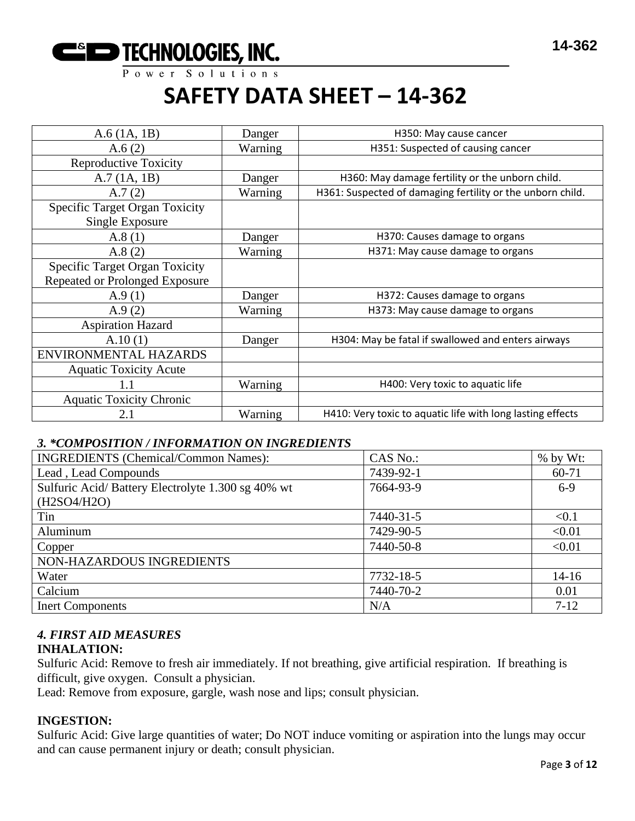

| $A.6$ (1A, 1B)                                           | Danger  | H350: May cause cancer                                     |
|----------------------------------------------------------|---------|------------------------------------------------------------|
| A.6(2)                                                   | Warning | H351: Suspected of causing cancer                          |
| <b>Reproductive Toxicity</b>                             |         |                                                            |
| A.7(1A, 1B)                                              | Danger  | H360: May damage fertility or the unborn child.            |
| A.7(2)                                                   | Warning | H361: Suspected of damaging fertility or the unborn child. |
| <b>Specific Target Organ Toxicity</b><br>Single Exposure |         |                                                            |
| A.8(1)                                                   | Danger  | H370: Causes damage to organs                              |
| A.8(2)                                                   | Warning | H371: May cause damage to organs                           |
| <b>Specific Target Organ Toxicity</b>                    |         |                                                            |
| Repeated or Prolonged Exposure                           |         |                                                            |
| A.9(1)                                                   | Danger  | H372: Causes damage to organs                              |
| A.9(2)                                                   | Warning | H373: May cause damage to organs                           |
| <b>Aspiration Hazard</b>                                 |         |                                                            |
| A.10(1)                                                  | Danger  | H304: May be fatal if swallowed and enters airways         |
| ENVIRONMENTAL HAZARDS                                    |         |                                                            |
| <b>Aquatic Toxicity Acute</b>                            |         |                                                            |
| 1.1                                                      | Warning | H400: Very toxic to aquatic life                           |
| <b>Aquatic Toxicity Chronic</b>                          |         |                                                            |
| 2.1                                                      | Warning | H410: Very toxic to aquatic life with long lasting effects |

# *3. \*COMPOSITION / INFORMATION ON INGREDIENTS*

| <b>INGREDIENTS</b> (Chemical/Common Names):       | CAS No.:  | $%$ by Wt: |
|---------------------------------------------------|-----------|------------|
| Lead, Lead Compounds                              | 7439-92-1 | $60 - 71$  |
| Sulfuric Acid/Battery Electrolyte 1.300 sg 40% wt | 7664-93-9 | $6-9$      |
| (H2SO4/H2O)                                       |           |            |
| Tin                                               | 7440-31-5 | < 0.1      |
| Aluminum                                          | 7429-90-5 | < 0.01     |
| Copper                                            | 7440-50-8 | < 0.01     |
| NON-HAZARDOUS INGREDIENTS                         |           |            |
| Water                                             | 7732-18-5 | $14-16$    |
| Calcium                                           | 7440-70-2 | 0.01       |
| <b>Inert Components</b>                           | N/A       | $7-12$     |

# *4. FIRST AID MEASURES*

# **INHALATION:**

Sulfuric Acid: Remove to fresh air immediately. If not breathing, give artificial respiration. If breathing is difficult, give oxygen. Consult a physician.

Lead: Remove from exposure, gargle, wash nose and lips; consult physician.

# **INGESTION:**

Sulfuric Acid: Give large quantities of water; Do NOT induce vomiting or aspiration into the lungs may occur and can cause permanent injury or death; consult physician.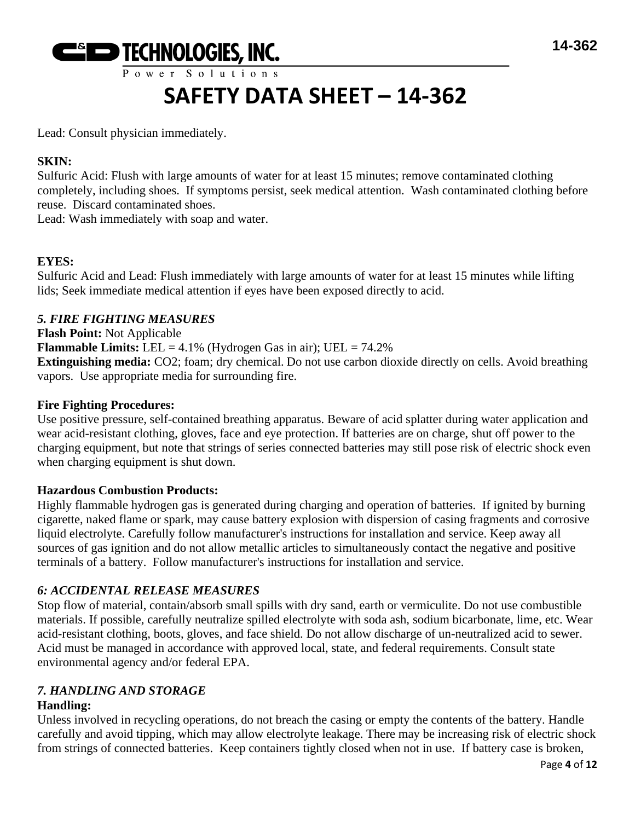

# **SAFETY DATA SHEET – 14-362**

Lead: Consult physician immediately.

# **SKIN:**

Sulfuric Acid: Flush with large amounts of water for at least 15 minutes; remove contaminated clothing completely, including shoes. If symptoms persist, seek medical attention. Wash contaminated clothing before reuse. Discard contaminated shoes.

Lead: Wash immediately with soap and water.

# **EYES:**

Sulfuric Acid and Lead: Flush immediately with large amounts of water for at least 15 minutes while lifting lids; Seek immediate medical attention if eyes have been exposed directly to acid.

# *5. FIRE FIGHTING MEASURES*

**Flash Point:** Not Applicable **Flammable Limits:** LEL =  $4.1\%$  (Hydrogen Gas in air); UEL =  $74.2\%$ **Extinguishing media:** CO2; foam; dry chemical. Do not use carbon dioxide directly on cells. Avoid breathing vapors. Use appropriate media for surrounding fire.

# **Fire Fighting Procedures:**

Use positive pressure, self-contained breathing apparatus. Beware of acid splatter during water application and wear acid-resistant clothing, gloves, face and eye protection. If batteries are on charge, shut off power to the charging equipment, but note that strings of series connected batteries may still pose risk of electric shock even when charging equipment is shut down.

# **Hazardous Combustion Products:**

Highly flammable hydrogen gas is generated during charging and operation of batteries. If ignited by burning cigarette, naked flame or spark, may cause battery explosion with dispersion of casing fragments and corrosive liquid electrolyte. Carefully follow manufacturer's instructions for installation and service. Keep away all sources of gas ignition and do not allow metallic articles to simultaneously contact the negative and positive terminals of a battery. Follow manufacturer's instructions for installation and service.

# *6: ACCIDENTAL RELEASE MEASURES*

Stop flow of material, contain/absorb small spills with dry sand, earth or vermiculite. Do not use combustible materials. If possible, carefully neutralize spilled electrolyte with soda ash, sodium bicarbonate, lime, etc. Wear acid-resistant clothing, boots, gloves, and face shield. Do not allow discharge of un-neutralized acid to sewer. Acid must be managed in accordance with approved local, state, and federal requirements. Consult state environmental agency and/or federal EPA.

# *7. HANDLING AND STORAGE*

# **Handling:**

Unless involved in recycling operations, do not breach the casing or empty the contents of the battery. Handle carefully and avoid tipping, which may allow electrolyte leakage. There may be increasing risk of electric shock from strings of connected batteries. Keep containers tightly closed when not in use. If battery case is broken,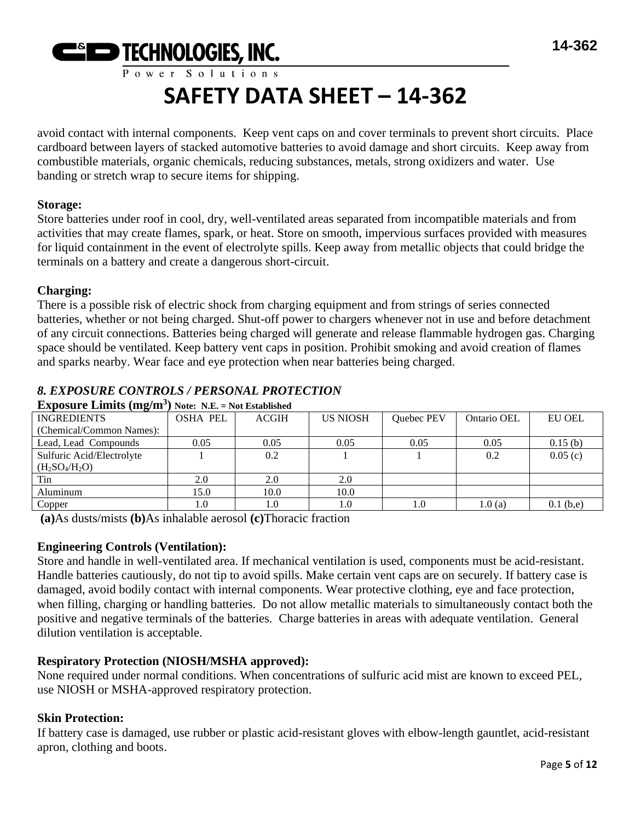

# **SAFETY DATA SHEET – 14-362**

avoid contact with internal components. Keep vent caps on and cover terminals to prevent short circuits. Place cardboard between layers of stacked automotive batteries to avoid damage and short circuits. Keep away from combustible materials, organic chemicals, reducing substances, metals, strong oxidizers and water. Use banding or stretch wrap to secure items for shipping.

#### **Storage:**

Store batteries under roof in cool, dry, well-ventilated areas separated from incompatible materials and from activities that may create flames, spark, or heat. Store on smooth, impervious surfaces provided with measures for liquid containment in the event of electrolyte spills. Keep away from metallic objects that could bridge the terminals on a battery and create a dangerous short-circuit.

#### **Charging:**

There is a possible risk of electric shock from charging equipment and from strings of series connected batteries, whether or not being charged. Shut-off power to chargers whenever not in use and before detachment of any circuit connections. Batteries being charged will generate and release flammable hydrogen gas. Charging space should be ventilated. Keep battery vent caps in position. Prohibit smoking and avoid creation of flames and sparks nearby. Wear face and eye protection when near batteries being charged.

# *8. EXPOSURE CONTROLS / PERSONAL PROTECTION*

| $\mathbf{L}$ approved $\mathbf{L}$ $\mathbf{L}$ and $\mathbf{L}$ and $\mathbf{L}$ | $1100.111111 = 1100.100011011011$ |              |                 |            |             |               |
|-----------------------------------------------------------------------------------|-----------------------------------|--------------|-----------------|------------|-------------|---------------|
| <b>INGREDIENTS</b>                                                                | <b>OSHA PEL</b>                   | <b>ACGIH</b> | <b>US NIOSH</b> | Quebec PEV | Ontario OEL | <b>EU OEL</b> |
| (Chemical/Common Names):                                                          |                                   |              |                 |            |             |               |
| Lead, Lead Compounds                                                              | 0.05                              | 0.05         | 0.05            | 0.05       | 0.05        | 0.15(b)       |
| Sulfuric Acid/Electrolyte                                                         |                                   | 0.2          |                 |            | 0.2         | 0.05(c)       |
| $(H_2SO_4/H_2O)$                                                                  |                                   |              |                 |            |             |               |
| Tin                                                                               | 2.0                               | 2.0          | 2.0             |            |             |               |
| Aluminum                                                                          | 15.0                              | 10.0         | 10.0            |            |             |               |
| Copper                                                                            | 1.0                               |              | 1.0             | 1.0        | 1.0(a)      | $0.1$ (b,e)   |

#### **Exposure Limits (mg/m<sup>3</sup> ) Note: N.E. = Not Established**

**(a)**As dusts/mists **(b)**As inhalable aerosol **(c)**Thoracic fraction

# **Engineering Controls (Ventilation):**

Store and handle in well-ventilated area. If mechanical ventilation is used, components must be acid-resistant. Handle batteries cautiously, do not tip to avoid spills. Make certain vent caps are on securely. If battery case is damaged, avoid bodily contact with internal components. Wear protective clothing, eye and face protection, when filling, charging or handling batteries. Do not allow metallic materials to simultaneously contact both the positive and negative terminals of the batteries. Charge batteries in areas with adequate ventilation. General dilution ventilation is acceptable.

# **Respiratory Protection (NIOSH/MSHA approved):**

None required under normal conditions. When concentrations of sulfuric acid mist are known to exceed PEL, use NIOSH or MSHA-approved respiratory protection.

# **Skin Protection:**

If battery case is damaged, use rubber or plastic acid-resistant gloves with elbow-length gauntlet, acid-resistant apron, clothing and boots.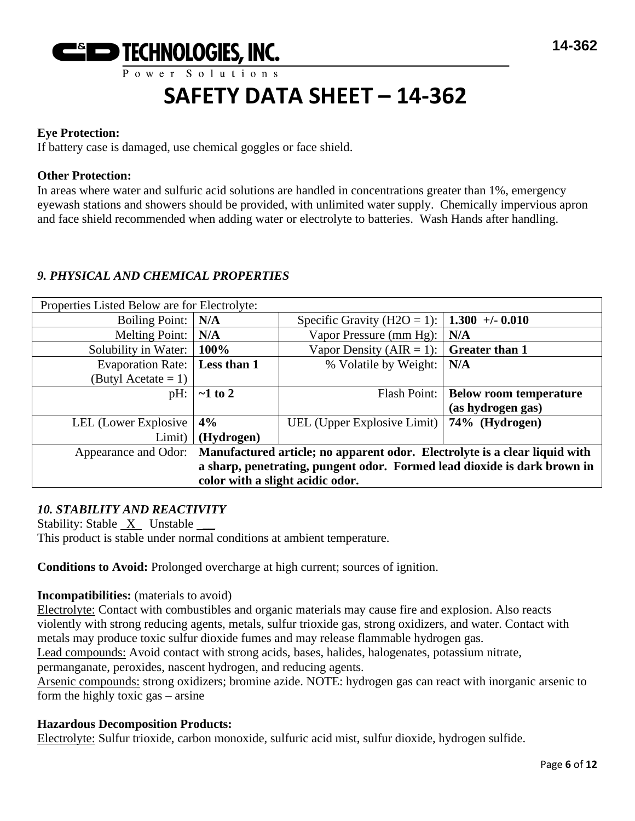

#### **Eye Protection:**

If battery case is damaged, use chemical goggles or face shield.

#### **Other Protection:**

In areas where water and sulfuric acid solutions are handled in concentrations greater than 1%, emergency eyewash stations and showers should be provided, with unlimited water supply. Chemically impervious apron and face shield recommended when adding water or electrolyte to batteries. Wash Hands after handling.

#### *9. PHYSICAL AND CHEMICAL PROPERTIES*

| Properties Listed Below are for Electrolyte:                                                       |               |                                                             |                               |
|----------------------------------------------------------------------------------------------------|---------------|-------------------------------------------------------------|-------------------------------|
| <b>Boiling Point:</b>                                                                              | N/A           | Specific Gravity (H2O = 1):   <b>1.300</b> +/- <b>0.010</b> |                               |
| <b>Melting Point:</b>                                                                              | N/A           | Vapor Pressure (mm Hg):                                     | N/A                           |
| Solubility in Water:                                                                               | 100%          | Vapor Density (AIR = 1): $\vert$                            | <b>Greater than 1</b>         |
| <b>Evaporation Rate:</b>                                                                           | Less than 1   | % Volatile by Weight:                                       | N/A                           |
| (Butyl Acetate $= 1$ )                                                                             |               |                                                             |                               |
| pH:                                                                                                | $\sim$ 1 to 2 | Flash Point:                                                | <b>Below room temperature</b> |
|                                                                                                    |               |                                                             | (as hydrogen gas)             |
| LEL (Lower Explosive                                                                               | 4%            | UEL (Upper Explosive Limit)   74% (Hydrogen)                |                               |
| Limit)                                                                                             | (Hydrogen)    |                                                             |                               |
| Manufactured article; no apparent odor. Electrolyte is a clear liquid with<br>Appearance and Odor: |               |                                                             |                               |
| a sharp, penetrating, pungent odor. Formed lead dioxide is dark brown in                           |               |                                                             |                               |
| color with a slight acidic odor.                                                                   |               |                                                             |                               |

#### *10. STABILITY AND REACTIVITY*

Stability: Stable X Unstable \_\_ This product is stable under normal conditions at ambient temperature.

**Conditions to Avoid:** Prolonged overcharge at high current; sources of ignition.

#### **Incompatibilities:** (materials to avoid)

Electrolyte: Contact with combustibles and organic materials may cause fire and explosion. Also reacts violently with strong reducing agents, metals, sulfur trioxide gas, strong oxidizers, and water. Contact with metals may produce toxic sulfur dioxide fumes and may release flammable hydrogen gas.

Lead compounds: Avoid contact with strong acids, bases, halides, halogenates, potassium nitrate,

permanganate, peroxides, nascent hydrogen, and reducing agents.

Arsenic compounds: strong oxidizers; bromine azide. NOTE: hydrogen gas can react with inorganic arsenic to form the highly toxic gas – arsine

#### **Hazardous Decomposition Products:**

Electrolyte: Sulfur trioxide, carbon monoxide, sulfuric acid mist, sulfur dioxide, hydrogen sulfide.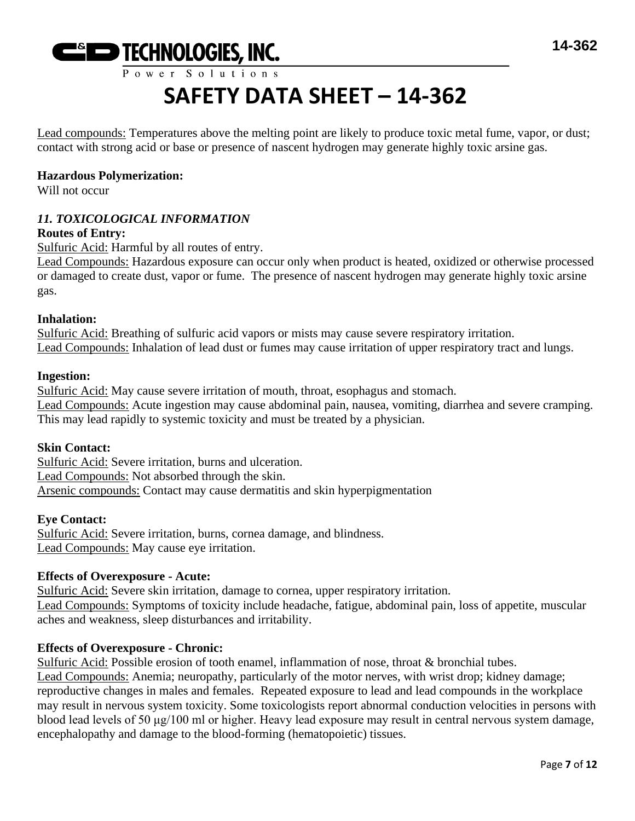

Lead compounds: Temperatures above the melting point are likely to produce toxic metal fume, vapor, or dust; contact with strong acid or base or presence of nascent hydrogen may generate highly toxic arsine gas.

### **Hazardous Polymerization:**

Will not occur

# *11. TOXICOLOGICAL INFORMATION*

# **Routes of Entry:**

Sulfuric Acid: Harmful by all routes of entry.

Lead Compounds: Hazardous exposure can occur only when product is heated, oxidized or otherwise processed or damaged to create dust, vapor or fume. The presence of nascent hydrogen may generate highly toxic arsine gas.

#### **Inhalation:**

Sulfuric Acid: Breathing of sulfuric acid vapors or mists may cause severe respiratory irritation. Lead Compounds: Inhalation of lead dust or fumes may cause irritation of upper respiratory tract and lungs.

#### **Ingestion:**

Sulfuric Acid: May cause severe irritation of mouth, throat, esophagus and stomach. Lead Compounds: Acute ingestion may cause abdominal pain, nausea, vomiting, diarrhea and severe cramping. This may lead rapidly to systemic toxicity and must be treated by a physician.

#### **Skin Contact:**

Sulfuric Acid: Severe irritation, burns and ulceration. Lead Compounds: Not absorbed through the skin. Arsenic compounds: Contact may cause dermatitis and skin hyperpigmentation

#### **Eye Contact:**

Sulfuric Acid: Severe irritation, burns, cornea damage, and blindness. Lead Compounds: May cause eye irritation.

#### **Effects of Overexposure - Acute:**

Sulfuric Acid: Severe skin irritation, damage to cornea, upper respiratory irritation. Lead Compounds: Symptoms of toxicity include headache, fatigue, abdominal pain, loss of appetite, muscular aches and weakness, sleep disturbances and irritability.

# **Effects of Overexposure - Chronic:**

Sulfuric Acid: Possible erosion of tooth enamel, inflammation of nose, throat & bronchial tubes. Lead Compounds: Anemia; neuropathy, particularly of the motor nerves, with wrist drop; kidney damage; reproductive changes in males and females. Repeated exposure to lead and lead compounds in the workplace may result in nervous system toxicity. Some toxicologists report abnormal conduction velocities in persons with blood lead levels of 50 μg/100 ml or higher. Heavy lead exposure may result in central nervous system damage, encephalopathy and damage to the blood-forming (hematopoietic) tissues.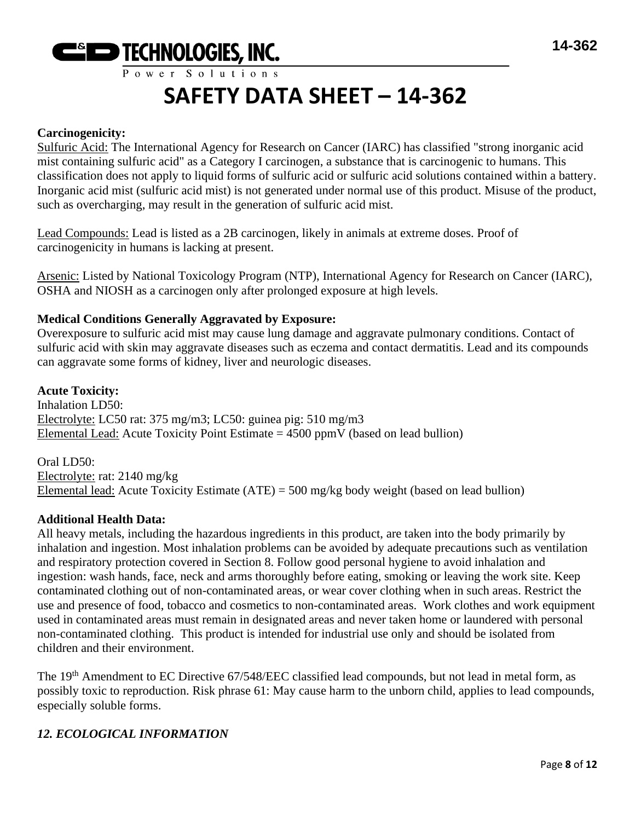

#### **Carcinogenicity:**

Sulfuric Acid: The International Agency for Research on Cancer (IARC) has classified "strong inorganic acid mist containing sulfuric acid" as a Category I carcinogen, a substance that is carcinogenic to humans. This classification does not apply to liquid forms of sulfuric acid or sulfuric acid solutions contained within a battery. Inorganic acid mist (sulfuric acid mist) is not generated under normal use of this product. Misuse of the product, such as overcharging, may result in the generation of sulfuric acid mist.

Lead Compounds: Lead is listed as a 2B carcinogen, likely in animals at extreme doses. Proof of carcinogenicity in humans is lacking at present.

Arsenic: Listed by National Toxicology Program (NTP), International Agency for Research on Cancer (IARC), OSHA and NIOSH as a carcinogen only after prolonged exposure at high levels.

#### **Medical Conditions Generally Aggravated by Exposure:**

Overexposure to sulfuric acid mist may cause lung damage and aggravate pulmonary conditions. Contact of sulfuric acid with skin may aggravate diseases such as eczema and contact dermatitis. Lead and its compounds can aggravate some forms of kidney, liver and neurologic diseases.

#### **Acute Toxicity:**

Inhalation LD50: Electrolyte: LC50 rat: 375 mg/m3; LC50: guinea pig: 510 mg/m3 Elemental Lead: Acute Toxicity Point Estimate  $= 4500$  ppmV (based on lead bullion)

Oral LD50: Electrolyte: rat: 2140 mg/kg Elemental lead: Acute Toxicity Estimate (ATE) = 500 mg/kg body weight (based on lead bullion)

#### **Additional Health Data:**

All heavy metals, including the hazardous ingredients in this product, are taken into the body primarily by inhalation and ingestion. Most inhalation problems can be avoided by adequate precautions such as ventilation and respiratory protection covered in Section 8. Follow good personal hygiene to avoid inhalation and ingestion: wash hands, face, neck and arms thoroughly before eating, smoking or leaving the work site. Keep contaminated clothing out of non-contaminated areas, or wear cover clothing when in such areas. Restrict the use and presence of food, tobacco and cosmetics to non-contaminated areas. Work clothes and work equipment used in contaminated areas must remain in designated areas and never taken home or laundered with personal non-contaminated clothing. This product is intended for industrial use only and should be isolated from children and their environment.

The 19<sup>th</sup> Amendment to EC Directive 67/548/EEC classified lead compounds, but not lead in metal form, as possibly toxic to reproduction. Risk phrase 61: May cause harm to the unborn child, applies to lead compounds, especially soluble forms.

# *12. ECOLOGICAL INFORMATION*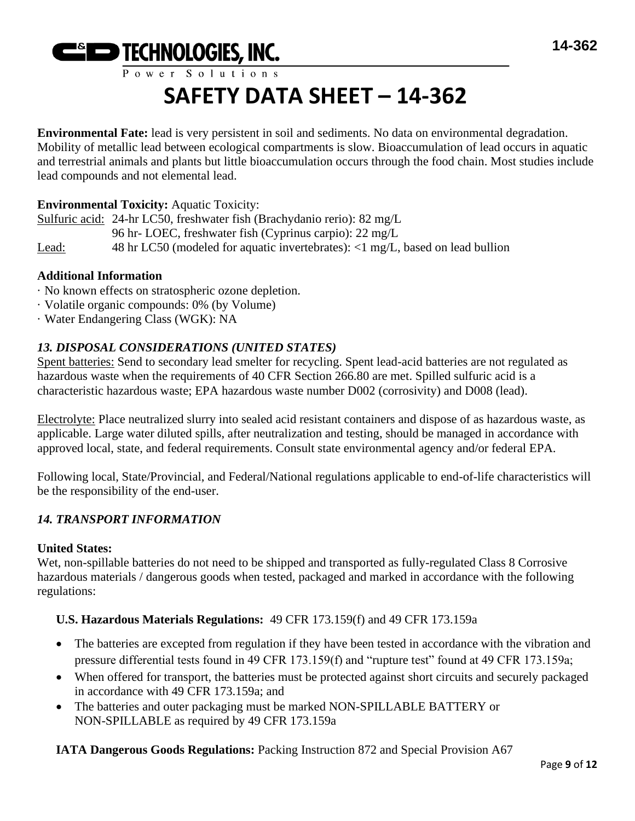

# **SAFETY DATA SHEET – 14-362**

**Environmental Fate:** lead is very persistent in soil and sediments. No data on environmental degradation. Mobility of metallic lead between ecological compartments is slow. Bioaccumulation of lead occurs in aquatic and terrestrial animals and plants but little bioaccumulation occurs through the food chain. Most studies include lead compounds and not elemental lead.

# **Environmental Toxicity:** Aquatic Toxicity:

Sulfuric acid: 24-hr LC50, freshwater fish (Brachydanio rerio): 82 mg/L 96 hr- LOEC, freshwater fish (Cyprinus carpio): 22 mg/L Lead: 48 hr LC50 (modeled for aquatic invertebrates): <1 mg/L, based on lead bullion

#### **Additional Information**

- · No known effects on stratospheric ozone depletion.
- · Volatile organic compounds: 0% (by Volume)
- · Water Endangering Class (WGK): NA

# *13. DISPOSAL CONSIDERATIONS (UNITED STATES)*

Spent batteries: Send to secondary lead smelter for recycling. Spent lead-acid batteries are not regulated as hazardous waste when the requirements of 40 CFR Section 266.80 are met. Spilled sulfuric acid is a characteristic hazardous waste; EPA hazardous waste number D002 (corrosivity) and D008 (lead).

Electrolyte: Place neutralized slurry into sealed acid resistant containers and dispose of as hazardous waste, as applicable. Large water diluted spills, after neutralization and testing, should be managed in accordance with approved local, state, and federal requirements. Consult state environmental agency and/or federal EPA.

Following local, State/Provincial, and Federal/National regulations applicable to end-of-life characteristics will be the responsibility of the end-user.

# *14. TRANSPORT INFORMATION*

#### **United States:**

Wet, non-spillable batteries do not need to be shipped and transported as fully-regulated Class 8 Corrosive hazardous materials / dangerous goods when tested, packaged and marked in accordance with the following regulations:

# **U.S. Hazardous Materials Regulations:** 49 CFR 173.159(f) and 49 CFR 173.159a

- The batteries are excepted from regulation if they have been tested in accordance with the vibration and pressure differential tests found in 49 CFR 173.159(f) and "rupture test" found at 49 CFR 173.159a;
- When offered for transport, the batteries must be protected against short circuits and securely packaged in accordance with 49 CFR 173.159a; and
- The batteries and outer packaging must be marked NON-SPILLABLE BATTERY or NON-SPILLABLE as required by 49 CFR 173.159a

**IATA Dangerous Goods Regulations:** Packing Instruction 872 and Special Provision A67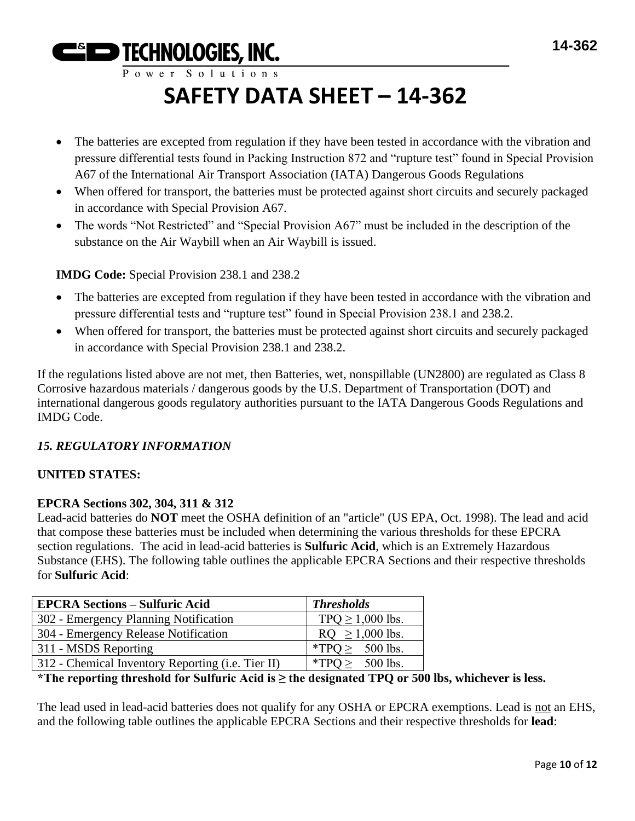**EGIED TECHNOLOGIES, INC.** Power Solutions

# **SAFETY DATA SHEET – 14-362**

- The batteries are excepted from regulation if they have been tested in accordance with the vibration and pressure differential tests found in Packing Instruction 872 and "rupture test" found in Special Provision A67 of the International Air Transport Association (IATA) Dangerous Goods Regulations
- When offered for transport, the batteries must be protected against short circuits and securely packaged in accordance with Special Provision A67.
- The words "Not Restricted" and "Special Provision A67" must be included in the description of the substance on the Air Waybill when an Air Waybill is issued.

**IMDG Code:** Special Provision 238.1 and 238.2

- The batteries are excepted from regulation if they have been tested in accordance with the vibration and pressure differential tests and "rupture test" found in Special Provision 238.1 and 238.2.
- When offered for transport, the batteries must be protected against short circuits and securely packaged in accordance with Special Provision 238.1 and 238.2.

If the regulations listed above are not met, then Batteries, wet, nonspillable (UN2800) are regulated as Class 8 Corrosive hazardous materials / dangerous goods by the U.S. Department of Transportation (DOT) and international dangerous goods regulatory authorities pursuant to the IATA Dangerous Goods Regulations and IMDG Code.

# *15. REGULATORY INFORMATION*

# **UNITED STATES:**

# **EPCRA Sections 302, 304, 311 & 312**

Lead-acid batteries do **NOT** meet the OSHA definition of an "article" (US EPA, Oct. 1998). The lead and acid that compose these batteries must be included when determining the various thresholds for these EPCRA section regulations. The acid in lead-acid batteries is **Sulfuric Acid**, which is an Extremely Hazardous Substance (EHS). The following table outlines the applicable EPCRA Sections and their respective thresholds for **Sulfuric Acid**:

| <b>EPCRA Sections - Sulfuric Acid</b>             | <b>Thresholds</b>     |
|---------------------------------------------------|-----------------------|
| 302 - Emergency Planning Notification             | TPQ $\geq$ 1,000 lbs. |
| 304 - Emergency Release Notification              | $RQ \ge 1,000$ lbs.   |
| 311 - MSDS Reporting                              | *TPO $\geq$ 500 lbs.  |
| 312 - Chemical Inventory Reporting (i.e. Tier II) | *TPQ $\geq$ 500 lbs.  |

# **\*The reporting threshold for Sulfuric Acid is ≥ the designated TPQ or 500 lbs, whichever is less.**

The lead used in lead-acid batteries does not qualify for any OSHA or EPCRA exemptions. Lead is not an EHS, and the following table outlines the applicable EPCRA Sections and their respective thresholds for **lead**: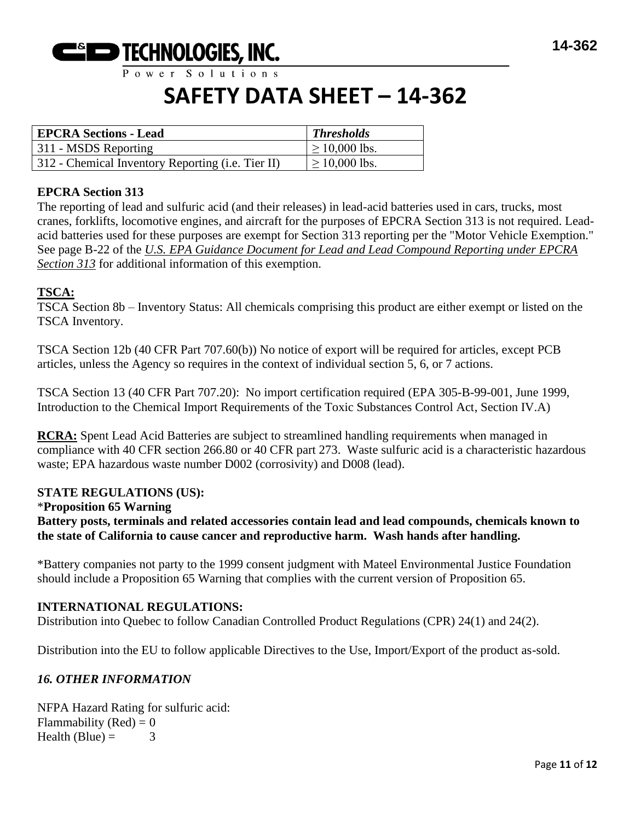

# **SAFETY DATA SHEET – 14-362**

| <b>EPCRA Sections - Lead</b>                      | <b>Thresholds</b>  |
|---------------------------------------------------|--------------------|
| 311 - MSDS Reporting                              | $\geq 10,000$ lbs. |
| 312 - Chemical Inventory Reporting (i.e. Tier II) | $\geq$ 10,000 lbs. |

#### **EPCRA Section 313**

The reporting of lead and sulfuric acid (and their releases) in lead-acid batteries used in cars, trucks, most cranes, forklifts, locomotive engines, and aircraft for the purposes of EPCRA Section 313 is not required. Leadacid batteries used for these purposes are exempt for Section 313 reporting per the "Motor Vehicle Exemption." See page B-22 of the *U.S. EPA Guidance Document for Lead and Lead Compound Reporting under EPCRA Section 313* for additional information of this exemption.

#### **TSCA:**

TSCA Section 8b – Inventory Status: All chemicals comprising this product are either exempt or listed on the TSCA Inventory.

TSCA Section 12b (40 CFR Part 707.60(b)) No notice of export will be required for articles, except PCB articles, unless the Agency so requires in the context of individual section 5, 6, or 7 actions.

TSCA Section 13 (40 CFR Part 707.20): No import certification required (EPA 305-B-99-001, June 1999, Introduction to the Chemical Import Requirements of the Toxic Substances Control Act, Section IV.A)

**RCRA:** Spent Lead Acid Batteries are subject to streamlined handling requirements when managed in compliance with 40 CFR section 266.80 or 40 CFR part 273. Waste sulfuric acid is a characteristic hazardous waste; EPA hazardous waste number D002 (corrosivity) and D008 (lead).

#### **STATE REGULATIONS (US):**

#### \***Proposition 65 Warning**

**Battery posts, terminals and related accessories contain lead and lead compounds, chemicals known to the state of California to cause cancer and reproductive harm. Wash hands after handling.**

\*Battery companies not party to the 1999 consent judgment with Mateel Environmental Justice Foundation should include a Proposition 65 Warning that complies with the current version of Proposition 65.

#### **INTERNATIONAL REGULATIONS:**

Distribution into Quebec to follow Canadian Controlled Product Regulations (CPR) 24(1) and 24(2).

Distribution into the EU to follow applicable Directives to the Use, Import/Export of the product as-sold.

#### *16. OTHER INFORMATION*

NFPA Hazard Rating for sulfuric acid: Flammability (Red)  $= 0$ Health (Blue) =  $3$